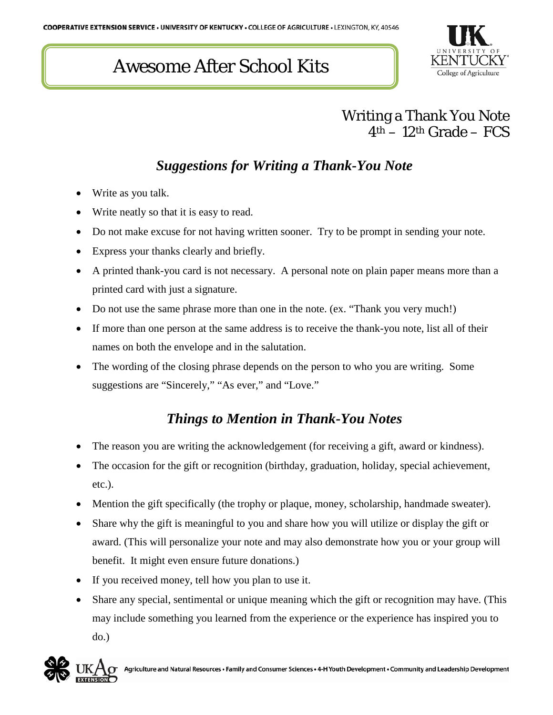# Awesome After School Kits



## Writing a Thank You Note  $4<sup>th</sup> - 12<sup>th</sup>$  Grade – FCS

## *Suggestions for Writing a Thank-You Note*

- Write as you talk.
- Write neatly so that it is easy to read.
- Do not make excuse for not having written sooner. Try to be prompt in sending your note.
- Express your thanks clearly and briefly.
- A printed thank-you card is not necessary. A personal note on plain paper means more than a printed card with just a signature.
- Do not use the same phrase more than one in the note. (ex. "Thank you very much!)
- If more than one person at the same address is to receive the thank-you note, list all of their names on both the envelope and in the salutation.
- The wording of the closing phrase depends on the person to who you are writing. Some suggestions are "Sincerely," "As ever," and "Love."

#### *Things to Mention in Thank-You Notes*

- The reason you are writing the acknowledgement (for receiving a gift, award or kindness).
- The occasion for the gift or recognition (birthday, graduation, holiday, special achievement, etc.).
- Mention the gift specifically (the trophy or plaque, money, scholarship, handmade sweater).
- Share why the gift is meaningful to you and share how you will utilize or display the gift or award. (This will personalize your note and may also demonstrate how you or your group will benefit. It might even ensure future donations.)
- If you received money, tell how you plan to use it.
- Share any special, sentimental or unique meaning which the gift or recognition may have. (This may include something you learned from the experience or the experience has inspired you to do.)